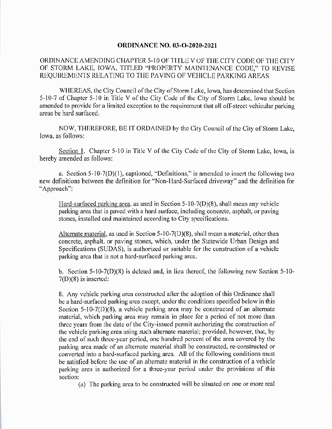## **ORDINANCE NO. 03-O-2020-2021**

## ORDINANCE AMENDING CHAPTER 5- 10 OF TITLE V OF THE CITY CODE OF THE CITY OF STORM LAKE, IOWA, TITLED "PROPERTY MAINTENANCE CODE," TO REVISE REQUIREMENTS RELATING TO THE PAVING OF VEHICLE PARKING AREAS

WHEREAS, the City Council of the City of Storm Lake, Iowa, has determined that Section 5-10-7 of Chapter 5-10 in Title V of the City Code of the City of Storm Lake, Iowa should be amended to provide for a limited exception to the requirement that all off-street vehicular parking areas be hard surfaced.

NOW, THEREFORE, BE IT ORDAINED by the City Council of the City of Storm Lake, Iowa, as follows:

Section 1. Chapter 5-10 in Title V of the City Code of the City of Storm Lake, Iowa, is hereby amended as follows:

a. Section  $5-10-7(D)(1)$ , captioned, "Definitions," is amended to insert the following two new definitions between the definition for "Non -Hard -Surfaced driveway" and the definition for Approach":

Hard-surfaced parking area, as used in Section  $5-10-7(D)(8)$ , shall mean any vehicle parking area that is paved with a hard surface, including concrete, asphalt, or paving stones, installed and maintained according to City specifications.

Alternate material, as used in Section  $5-10-7(D)(8)$ , shall mean a material, other than concrete, asphalt, or paving stones, which, under the Statewide Urban Design and Specifications (SUDAS), is authorized or suitable for the construction of a vehicle parking area that is not a hard -surfaced parking area.

b. Section  $5-10-7(D)(8)$  is deleted and, in lieu thereof, the following new Section  $5-10 7(D)(8)$  is inserted:

8. Any vehicle parking area constructed after the adoption of this Ordinance shall be a hard -surfaced parking area except, under the conditions specified below in this Section  $5-10-7(1)(8)$ , a vehicle parking area may be constructed of an alternate material, which parking area may remain in place for a period of not more than three years from the date of the City-issued permit authorizing the construction of the vehicle parking area using such alternate material; provided, however, that, by the end of such three-year period, one hundred percent of the area covered by the parking area made of an alternate material shall be constructed, re -constructed or converted into a hard -surfaced parking area. All of the following conditions must be satisfied before the use of an alternate material in the construction of a vehicle parking area is authorized for a three- year period under the provisions of this section:

a) The parking area to be constructed will be situated on one or more real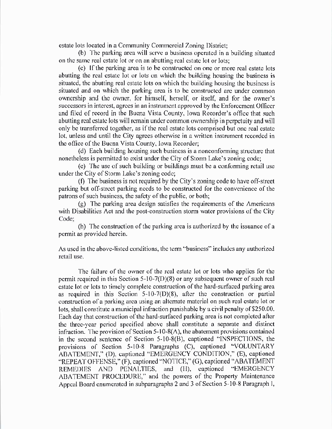estate lots located in a Community Commercial Zoning District;

b) The parking area will serve a business operated in a building situated on the same real estate lot or on an abutting real estate lot or lots;

c) If the parking area is to be constructed on one or more real estate lots abutting the real estate lot or lots on which the building housing the business is situated, the abutting real estate lots on which the building housing the business is situated and on which the parking area is to be constructed are under common ownership and the owner, for himself, herself, or itself, and for the owner's successors in interest, agrees in an instrument approved by the Enforcement Officer and filed of record in the Buena Vista County, Iowa Recorder's office that such abutting real estate lots will remain under common ownership in perpetuity and will only be transferred together, as if the real estate lots comprised but one real estate lot, unless and until the City agrees otherwise in a written instrument recorded in the office of the Buena Vista County, Iowa Recorder;

d) Each building housing such business is a nonconforming structure that nonetheless is permitted to exist under the City of Storm Lake's zoning code;

e) The use of such building or buildings must be a conforming retail use under the City of Storm Lake's zoning code;

f) The business is not required by the City' s zoning code to have off-street parking but off-street parking needs to be constructed for the convenience of the patrons of such business, the safety of the public, or both;

g) The puking area design satisfies the requirements of the Americans with Disabilities Act and the post-construction storm water provisions of the City Code;

h) The construction of the parking area is authorized by the issuance of a permit as provided herein.

As used in the above -listed conditions, the term "business" includes any authorized retail use.

The failure of the owner of the real estate lot or lots who applies for the permit required in this Section  $5-10-7(1)(8)$  or any subsequent owner of such real estate lot or lots to timely complete construction of the hard-surfaced parking area as required in this Section  $5-10-7(D)(8)$ , after the construction or partial construction of a parking area using an alternate material on such real estate lot or lots, shall constitute a municipal infraction punishable by a civil penalty of \$250.00. Each day that construction of the hard-surfaced parking area is not completed after the three-year period specified above shall constitute a separate and distinct infraction. The provision of Section  $5-10-8(A)$ , the abatement provisions contained in the second sentence of Section 5-10-8(B), captioned "INSPECTIONS, the provisions of Section 5-10-8 Paragraphs (C), captioned "VOLUNTARY ABATEMENT," (D), captioned "EMERGENCY CONDITION," (E), captioned "REPEAT OFFENSE," (F), captioned "NOTICE," (G), captioned "ABATEMENT REMEDIES AND PENALTIES, and (H), captioned "EMERGENCY ABATEMENT PROCEDURE," and the powers of the Property Maintenance Appeal Board enumerated in subparagraphs 2 and 3 of Section 5-10-8 Paragraph I,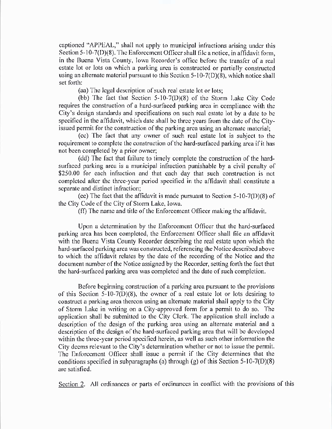captioned " APPEAL," shall not apply to municipal infractions arising under this Section  $5-10-7(D)(8)$ . The Enforcement Officer shall file a notice, in affidavit form, in the Buena Vista County, Iowa Recorder's office before the transfer of a real estate lot or lots on which a parking area is constructed or partially constructed using an alternate material pursuant to this Section 5-10-7(D)(8), which notice shall set forth:

aa) The legal description of such real estate lot or lots;

(bb) The fact that Section  $5-10-7(D)(8)$  of the Storm Lake City Code requires the construction of a hard -surfaced parking area in compliance with the City's design standards and specifications on such real estate lot by a date to be specified in the affidavit, which date shall be three years from the date of the Cityissued permit for the construction of the parking area using an alternate material;

cc) The fact that any owner of such real estate lot is subject to the requirement to complete the construction of the hard-surfaced parking area if it has not been completed by a prior owner;

(dd) The fact that failure to timely complete the construction of the hardsurfaced parking area is a municipal infraction punishable by a civil penalty of \$250.00 for each infraction and that each day that such construction is not completed after the three-year period specified in the affidavit shall constitute a separate and distinct infraction;

(ee) The fact that the affidavit is made pursuant to Section  $5-10-7(1)(8)$  of the City Code of the City of Storm Lake, Iowa.

ff) The name and title of the Enforcement Officer making the affidavit.

Upon a determination by the Enforcement Officer that the hard -surfaced parking area has been completed, the Enforcement Officer shall file an affidavit with the Buena Vista County Recorder describing the real estate upon which the hard -surfaced parking area was constructed, referencing the Notice described above to which the affidavit relates by the date of the recording of the Notice and the document number of the Notice assigned by the Recorder, setting forth the fact that the hard -surfaced parking area was completed and the date of such completion.

Before beginning construction of a parking area pursuant to the provisions of this Section  $5-10-7(D)(8)$ , the owner of a real estate lot or lots desiring to construct a parking area thereon using an alternate material shall apply to the City of Storm Lake in writing on a City -approved form for a permit to do so. The application shall be submitted to the City Clerk. The application shall include a description of the design of the parking area using an alternate material and a description of the design of the hard-surfaced parking area that will be developed within the three-year period specified herein, as well as such other information the City deems relevant to the City' s determination whether or not to issue the permit. The Enforcement Officer shall issue a permit if the City determines that the conditions specified in subparagraphs (a) through (g) of this Section  $5-10-7(D)(8)$ are satisfied.

Section 2. All ordinances or parts of ordinances in conflict with the provisions of this